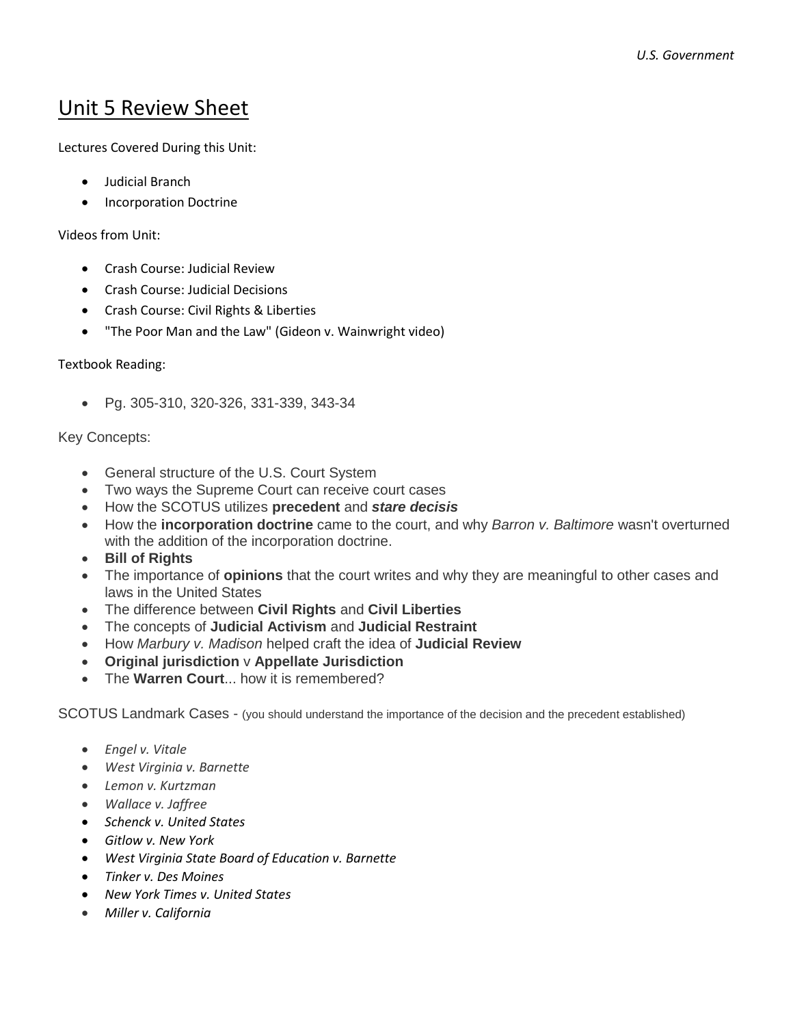## Unit 5 Review Sheet

Lectures Covered During this Unit:

- Judicial Branch
- Incorporation Doctrine

Videos from Unit:

- Crash Course: Judicial Review
- Crash Course: Judicial Decisions
- Crash Course: Civil Rights & Liberties
- "The Poor Man and the Law" (Gideon v. Wainwright video)

## Textbook Reading:

Pg. 305-310, 320-326, 331-339, 343-34

## Key Concepts:

- General structure of the U.S. Court System
- Two ways the Supreme Court can receive court cases
- How the SCOTUS utilizes **precedent** and *stare decisis*
- How the **incorporation doctrine** came to the court, and why *Barron v. Baltimore* wasn't overturned with the addition of the incorporation doctrine.
- **Bill of Rights**
- The importance of **opinions** that the court writes and why they are meaningful to other cases and laws in the United States
- The difference between **Civil Rights** and **Civil Liberties**
- The concepts of **Judicial Activism** and **Judicial Restraint**
- How *Marbury v. Madison* helped craft the idea of **Judicial Review**
- **Original jurisdiction** v **Appellate Jurisdiction**
- The **Warren Court**... how it is remembered?

SCOTUS Landmark Cases - (you should understand the importance of the decision and the precedent established)

- *Engel v. Vitale*
- *West Virginia v. Barnette*
- *Lemon v. Kurtzman*
- *Wallace v. Jaffree*
- *Schenck v. United States*
- *Gitlow v. New York*
- *West Virginia State Board of Education v. Barnette*
- *Tinker v. Des Moines*
- *New York Times v. United States*
- *Miller v. California*